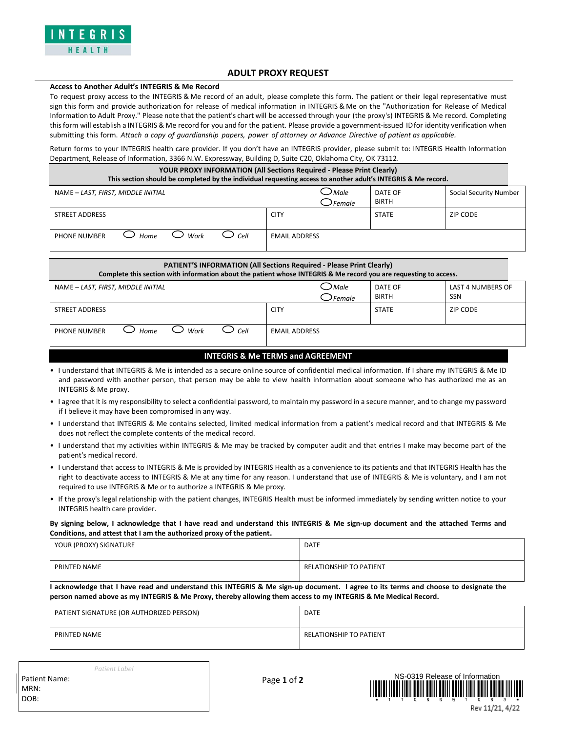

# **ADULT PROXY REQUEST**

### **Access to Another Adult's INTEGRIS & Me Record**

To request proxy access to the INTEGRIS & Me record of an adult, please complete this form. The patient or their legal representative must sign this form and provide authorization for release of medical information in INTEGRIS & Me on the "Authorization for Release of Medical Information to Adult Proxy." Please note that the patient's chart will be accessed through your (the proxy's) INTEGRIS & Me record. Completing thisform will establish a INTEGRIS & Me record for you and for the patient. Please provide a government-issued IDfor identity verification when submitting this form. Attach a copy of guardianship papers, power of attorney or Advance Directive of patient as applicable.

Return forms to your INTEGRIS health care provider. If you don't have an INTEGRIS provider, please submit to: INTEGRIS Health Information Department, Release of Information, 3366 N.W. Expressway, Building D, Suite C20, Oklahoma City, OK 73112.

| <b>YOUR PROXY INFORMATION (All Sections Required - Please Print Clearly)</b><br>This section should be completed by the individual requesting access to another adult's INTEGRIS & Me record. |                       |                         |                        |  |  |  |  |
|-----------------------------------------------------------------------------------------------------------------------------------------------------------------------------------------------|-----------------------|-------------------------|------------------------|--|--|--|--|
| NAME - LAST, FIRST, MIDDLE INITIAL                                                                                                                                                            | $\cup$ Male<br>Female | DATE OF<br><b>BIRTH</b> | Social Security Number |  |  |  |  |
| STREET ADDRESS                                                                                                                                                                                | <b>CITY</b>           | <b>STATE</b>            | <b>ZIP CODE</b>        |  |  |  |  |
| Cell<br>Work<br>PHONE NUMBER<br>Home                                                                                                                                                          | <b>EMAIL ADDRESS</b>  |                         |                        |  |  |  |  |

| <b>PATIENT'S INFORMATION (All Sections Required - Please Print Clearly)</b><br>Complete this section with information about the patient whose INTEGRIS & Me record you are requesting to access. |                                 |                         |                                 |  |  |  |  |
|--------------------------------------------------------------------------------------------------------------------------------------------------------------------------------------------------|---------------------------------|-------------------------|---------------------------------|--|--|--|--|
| NAME - LAST, FIRST, MIDDLE INITIAL                                                                                                                                                               | $\cup$ Male<br>$\supset$ Female | DATE OF<br><b>BIRTH</b> | LAST 4 NUMBERS OF<br><b>SSN</b> |  |  |  |  |
| STREET ADDRESS                                                                                                                                                                                   | <b>CITY</b>                     | <b>STATE</b>            | ZIP CODE                        |  |  |  |  |
| Cell<br>Work<br>PHONE NUMBER<br>Home                                                                                                                                                             | <b>EMAIL ADDRESS</b>            |                         |                                 |  |  |  |  |

### **INTEGRIS & Me TERMS and AGREEMENT**

- I understand that INTEGRIS & Me is intended as a secure online source of confidential medical information. If I share my INTEGRIS & Me ID and password with another person, that person may be able to view health information about someone who has authorized me as an INTEGRIS & Me proxy.
- I agree that it is my responsibility to select a confidential password, to maintain my password in a secure manner, and to change my password if I believe it may have been compromised in any way.
- I understand that INTEGRIS & Me contains selected, limited medical information from a patient's medical record and that INTEGRIS & Me does not reflect the complete contents of the medical record.
- I understand that my activities within INTEGRIS & Me may be tracked by computer audit and that entries I make may become part of the patient's medical record.
- I understand that access to INTEGRIS & Me is provided by INTEGRIS Health as a convenience to its patients and that INTEGRIS Health has the right to deactivate access to INTEGRIS & Me at any time for any reason. I understand that use of INTEGRIS & Me is voluntary, and I am not required to use INTEGRIS & Me or to authorize a INTEGRIS & Me proxy.
- If the proxy's legal relationship with the patient changes, INTEGRIS Health must be informed immediately by sending written notice to your INTEGRIS health care provider.

#### **By signing below, I acknowledge that I have read and understand this INTEGRIS & Me sign-up document and the attached Terms and Conditions, and attest that I am the authorized proxy of the patient.**

| YOUR (PROXY) SIGNATURE | <b>DATE</b>                    |
|------------------------|--------------------------------|
| PRINTED NAME           | <b>RELATIONSHIP TO PATIENT</b> |

**I acknowledge that I have read and understand this INTEGRIS & Me sign-up document. I agree to its terms and choose to designate the person named above as my INTEGRIS & Me Proxy, thereby allowing them access to my INTEGRIS & Me Medical Record.**

| PATIENT SIGNATURE (OR AUTHORIZED PERSON) | <b>DATE</b>             |  |  |
|------------------------------------------|-------------------------|--|--|
|                                          |                         |  |  |
| PRINTED NAME                             | RELATIONSHIP TO PATIENT |  |  |

|               | Patient Label |
|---------------|---------------|
| Patient Name: |               |
| MRN:          |               |
| DOB:          |               |
|               |               |